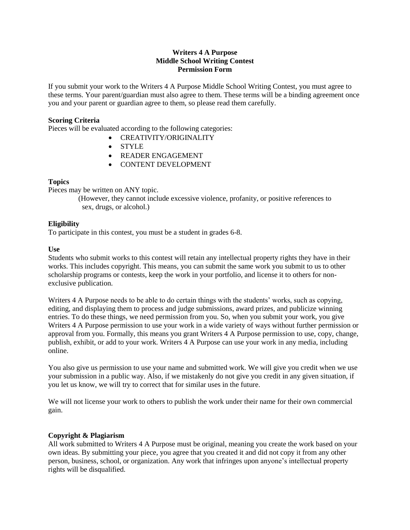## **Writers 4 A Purpose Middle School Writing Contest Permission Form**

If you submit your work to the Writers 4 A Purpose Middle School Writing Contest, you must agree to these terms. Your parent/guardian must also agree to them. These terms will be a binding agreement once you and your parent or guardian agree to them, so please read them carefully.

## **Scoring Criteria**

Pieces will be evaluated according to the following categories:

- CREATIVITY/ORIGINALITY
- STYLE
- READER ENGAGEMENT
- CONTENT DEVELOPMENT

### **Topics**

Pieces may be written on ANY topic.

(However, they cannot include excessive violence, profanity, or positive references to sex, drugs, or alcohol.)

# **Eligibility**

To participate in this contest, you must be a student in grades 6-8.

### **Use**

Students who submit works to this contest will retain any intellectual property rights they have in their works. This includes copyright. This means, you can submit the same work you submit to us to other scholarship programs or contests, keep the work in your portfolio, and license it to others for nonexclusive publication.

Writers 4 A Purpose needs to be able to do certain things with the students' works, such as copying, editing, and displaying them to process and judge submissions, award prizes, and publicize winning entries. To do these things, we need permission from you. So, when you submit your work, you give Writers 4 A Purpose permission to use your work in a wide variety of ways without further permission or approval from you. Formally, this means you grant Writers 4 A Purpose permission to use, copy, change, publish, exhibit, or add to your work. Writers 4 A Purpose can use your work in any media, including online.

You also give us permission to use your name and submitted work. We will give you credit when we use your submission in a public way. Also, if we mistakenly do not give you credit in any given situation, if you let us know, we will try to correct that for similar uses in the future.

We will not license your work to others to publish the work under their name for their own commercial gain.

# **Copyright & Plagiarism**

All work submitted to Writers 4 A Purpose must be original, meaning you create the work based on your own ideas. By submitting your piece, you agree that you created it and did not copy it from any other person, business, school, or organization. Any work that infringes upon anyone's intellectual property rights will be disqualified.